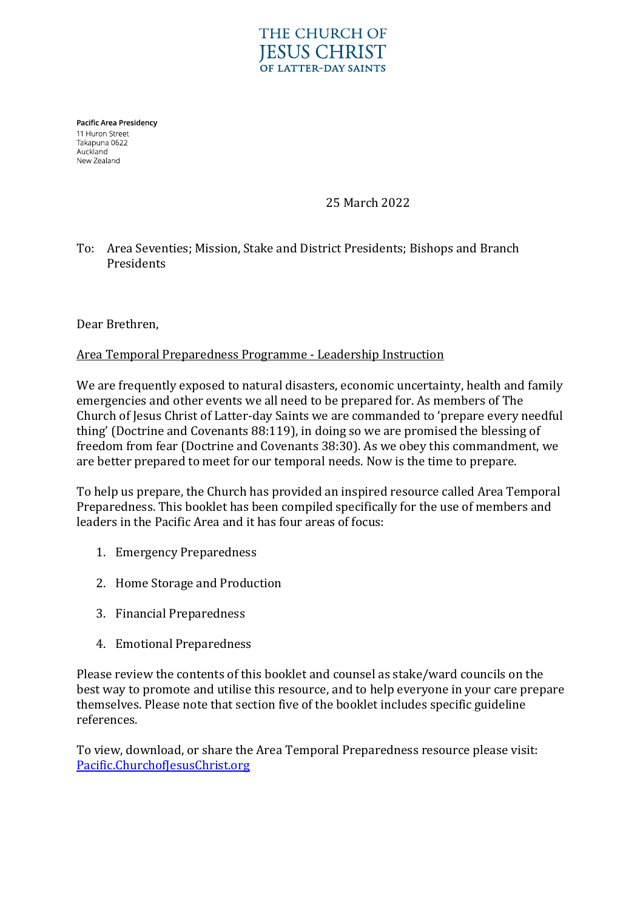## **THE CHURCH OF JESUS CHRIST** OF LATTER-DAY SAINTS

Pacific Area Presidency 11 Huron Street Takapuna 0622 Auckland New Zealand

25 March 2022

## To: Area Seventies; Mission, Stake and District Presidents; Bishops and Branch Presidents

Dear Brethren,

## Area Temporal Preparedness Programme - Leadership Instruction

We are frequently exposed to natural disasters, economic uncertainty, health and family emergencies and other events we all need to be prepared for. As members of The Church of Jesus Christ of Latter-day Saints we are commanded to 'prepare every needful thing' (Doctrine and Covenants 88:119), in doing so we are promised the blessing of freedom from fear (Doctrine and Covenants 38:30). As we obey this commandment, we are better prepared to meet for our temporal needs. Now is the time to prepare.

To help us prepare, the Church has provided an inspired resource called Area Temporal Preparedness. This booklet has been compiled specifically for the use of members and leaders in the Pacific Area and it has four areas of focus:

- 1. Emergency Preparedness
- 2. Home Storage and Production
- 3. Financial Preparedness
- 4. Emotional Preparedness

Please review the contents of this booklet and counsel as stake/ward councils on the best way to promote and utilise this resource, and to help everyone in your care prepare themselves. Please note that section five of the booklet includes specific guideline references.

To view, download, or share the Area Temporal Preparedness resource please visit: [Pacific.ChurchofJesusChrist.org](https://pacific.churchofjesuschrist.org/wsr)